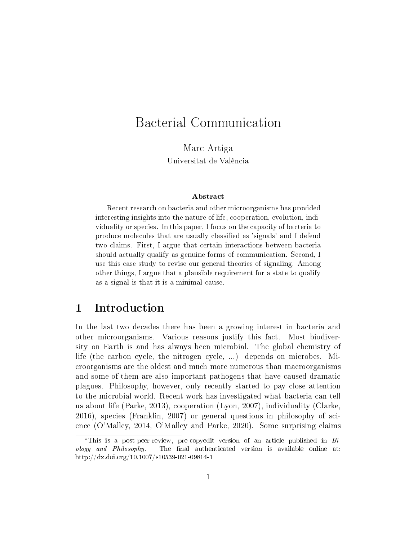# Bacterial Communication

Marc Artiga Universitat de València

#### Abstract

Recent research on bacteria and other microorganisms has provided interesting insights into the nature of life, cooperation, evolution, individuality or species. In this paper, I focus on the capacity of bacteria to produce molecules that are usually classified as 'signals' and I defend two claims. First, I argue that certain interactions between bacteria should actually qualify as genuine forms of communication. Second, I use this case study to revise our general theories of signaling. Among other things, I argue that a plausible requirement for a state to qualify as a signal is that it is a minimal cause.

### 1 Introduction

In the last two decades there has been a growing interest in bacteria and other microorganisms. Various reasons justify this fact. Most biodiversity on Earth is and has always been microbial. The global chemistry of life (the carbon cycle, the nitrogen cycle, ...) depends on microbes. Microorganisms are the oldest and much more numerous than macroorganisms and some of them are also important pathogens that have caused dramatic plagues. Philosophy, however, only recently started to pay close attention to the microbial world. Recent work has investigated what bacteria can tell us about life (Parke, 2013), cooperation (Lyon, 2007), individuality (Clarke, 2016), species (Franklin, 2007) or general questions in philosophy of science (O'Malley, 2014, O'Malley and Parke, 2020). Some surprising claims

<sup>&</sup>lt;sup>\*</sup>This is a post-peer-review, pre-copyedit version of an article published in  $Bi$  $\alpha$  *ology and Philosophy.* The final authenticated version is available online at: http://dx.doi.org/10.1007/s10539-021-09814-1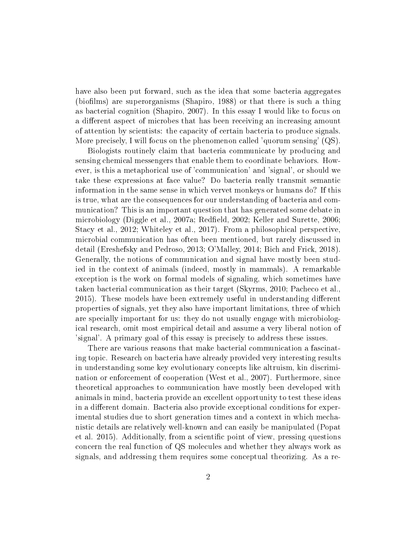have also been put forward, such as the idea that some bacteria aggregates (biofilms) are superorganisms (Shapiro, 1988) or that there is such a thing as bacterial cognition (Shapiro, 2007). In this essay I would like to focus on a different aspect of microbes that has been receiving an increasing amount of attention by scientists: the capacity of certain bacteria to produce signals. More precisely, I will focus on the phenomenon called 'quorum sensing' (QS).

Biologists routinely claim that bacteria communicate by producing and sensing chemical messengers that enable them to coordinate behaviors. However, is this a metaphorical use of 'communication' and 'signal', or should we take these expressions at face value? Do bacteria really transmit semantic information in the same sense in which vervet monkeys or humans do? If this is true, what are the consequences for our understanding of bacteria and communication? This is an important question that has generated some debate in microbiology (Diggle et al., 2007a; Redfield, 2002; Keller and Surette, 2006; Stacy et al., 2012; Whiteley et al., 2017). From a philosophical perspective, microbial communication has often been mentioned, but rarely discussed in detail (Ereshefsky and Pedroso, 2013; O'Malley, 2014; Bich and Frick, 2018). Generally, the notions of communication and signal have mostly been studied in the context of animals (indeed, mostly in mammals). A remarkable exception is the work on formal models of signaling, which sometimes have taken bacterial communication as their target (Skyrms, 2010; Pacheco et al., 2015). These models have been extremely useful in understanding different properties of signals, yet they also have important limitations, three of which are specially important for us: they do not usually engage with microbiological research, omit most empirical detail and assume a very liberal notion of 'signal'. A primary goal of this essay is precisely to address these issues.

There are various reasons that make bacterial communication a fascinating topic. Research on bacteria have already provided very interesting results in understanding some key evolutionary concepts like altruism, kin discrimination or enforcement of cooperation (West et al., 2007). Furthermore, since theoretical approaches to communication have mostly been developed with animals in mind, bacteria provide an excellent opportunity to test these ideas in a different domain. Bacteria also provide exceptional conditions for experimental studies due to short generation times and a context in which mechanistic details are relatively well-known and can easily be manipulated (Popat et al. 2015). Additionally, from a scientific point of view, pressing questions concern the real function of QS molecules and whether they always work as signals, and addressing them requires some conceptual theorizing. As a re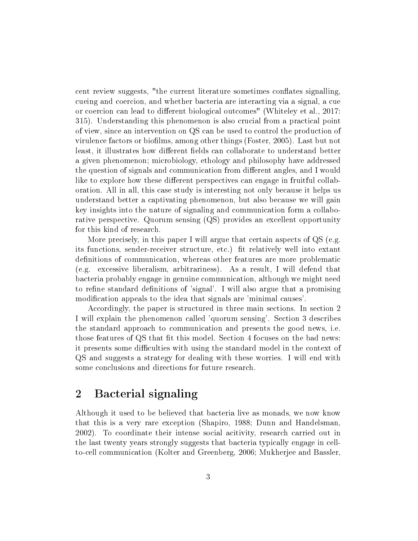cent review suggests, "the current literature sometimes conflates signalling, cueing and coercion, and whether bacteria are interacting via a signal, a cue or coercion can lead to different biological outcomes" (Whiteley et al., 2017: 315). Understanding this phenomenon is also crucial from a practical point of view, since an intervention on QS can be used to control the production of virulence factors or biofilms, among other things (Foster, 2005). Last but not least, it illustrates how different fields can collaborate to understand better a given phenomenon; microbiology, ethology and philosophy have addressed the question of signals and communication from different angles, and I would like to explore how these different perspectives can engage in fruitful collaboration. All in all, this case study is interesting not only because it helps us understand better a captivating phenomenon, but also because we will gain key insights into the nature of signaling and communication form a collaborative perspective. Quorum sensing (QS) provides an excellent opportunity for this kind of research.

More precisely, in this paper I will argue that certain aspects of QS (e.g. its functions, sender-receiver structure, etc.) fit relatively well into extant definitions of communication, whereas other features are more problematic (e.g. excessive liberalism, arbitrariness). As a result, I will defend that bacteria probably engage in genuine communication, although we might need to refine standard definitions of 'signal'. I will also argue that a promising modification appeals to the idea that signals are 'minimal causes'.

Accordingly, the paper is structured in three main sections. In section 2 I will explain the phenomenon called 'quorum sensing'. Section 3 describes the standard approach to communication and presents the good news, i.e. those features of QS that fit this model. Section 4 focuses on the bad news: it presents some difficulties with using the standard model in the context of QS and suggests a strategy for dealing with these worries. I will end with some conclusions and directions for future research.

### 2 Bacterial signaling

Although it used to be believed that bacteria live as monads, we now know that this is a very rare exception (Shapiro, 1988; Dunn and Handelsman, 2002). To coordinate their intense social acitivity, research carried out in the last twenty years strongly suggests that bacteria typically engage in cellto-cell communication (Kolter and Greenberg, 2006; Mukherjee and Bassler,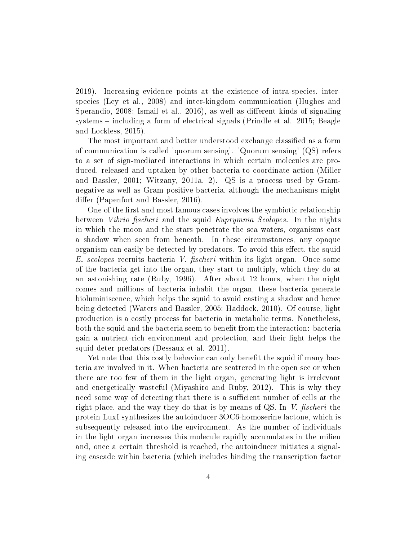2019). Increasing evidence points at the existence of intra-species, interspecies (Ley et al., 2008) and inter-kingdom communication (Hughes and Sperandio,  $2008$ ; Ismail et al.,  $2016$ ), as well as different kinds of signaling systems  $-$  including a form of electrical signals (Prindle et al. 2015; Beagle and Lockless, 2015).

The most important and better understood exchange classified as a form of communication is called 'quorum sensing'. 'Quorum sensing' (QS) refers to a set of sign-mediated interactions in which certain molecules are produced, released and uptaken by other bacteria to coordinate action (Miller and Bassler, 2001; Witzany, 2011a, 2). QS is a process used by Gramnegative as well as Gram-positive bacteria, although the mechanisms might differ (Papenfort and Bassler, 2016).

One of the first and most famous cases involves the symbiotic relationship between *Vibrio fischeri* and the squid *Euprymnia Scolopes*. In the nights in which the moon and the stars penetrate the sea waters, organisms cast a shadow when seen from beneath. In these circumstances, any opaque organism can easily be detected by predators. To avoid this effect, the squid E. scolopes recruits bacteria V. fischeri within its light organ. Once some of the bacteria get into the organ, they start to multiply, which they do at an astonishing rate (Ruby, 1996). After about 12 hours, when the night comes and millions of bacteria inhabit the organ, these bacteria generate bioluminiscence, which helps the squid to avoid casting a shadow and hence being detected (Waters and Bassler, 2005; Haddock, 2010). Of course, light production is a costly process for bacteria in metabolic terms. Nonetheless, both the squid and the bacteria seem to benefit from the interaction: bacteria gain a nutrient-rich environment and protection, and their light helps the squid deter predators (Dessaux et al. 2011).

Yet note that this costly behavior can only benefit the squid if many bacteria are involved in it. When bacteria are scattered in the open see or when there are too few of them in the light organ, generating light is irrelevant and energetically wasteful (Miyashiro and Ruby, 2012). This is why they need some way of detecting that there is a sufficient number of cells at the right place, and the way they do that is by means of QS. In V. fischeri the protein LuxI synthesizes the autoinducer 3OC6-homoserine lactone, which is subsequently released into the environment. As the number of individuals in the light organ increases this molecule rapidly accumulates in the milieu and, once a certain threshold is reached, the autoinducer initiates a signaling cascade within bacteria (which includes binding the transcription factor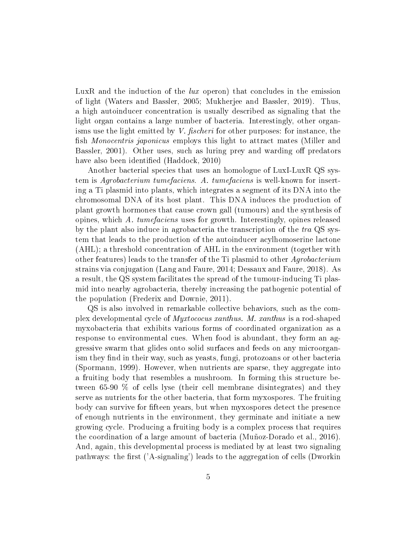LuxR and the induction of the lux operon) that concludes in the emission of light (Waters and Bassler, 2005; Mukherjee and Bassler, 2019). Thus, a high autoinducer concentration is usually described as signaling that the light organ contains a large number of bacteria. Interestingly, other organisms use the light emitted by V. fischeri for other purposes: for instance, the fish *Monocentris japonicus* employs this light to attract mates (Miller and Bassler, 2001). Other uses, such as luring prey and warding off predators have also been identified (Haddock, 2010)

Another bacterial species that uses an homologue of LuxI-LuxR QS system is Agrobacterium tumefaciens. A. tumefaciens is well-known for inserting a Ti plasmid into plants, which integrates a segment of its DNA into the chromosomal DNA of its host plant. This DNA induces the production of plant growth hormones that cause crown gall (tumours) and the synthesis of opines, which A. tumefaciens uses for growth. Interestingly, opines released by the plant also induce in agrobacteria the transcription of the tra QS system that leads to the production of the autoinducer acylhomoserine lactone (AHL); a threshold concentration of AHL in the environment (together with other features) leads to the transfer of the Ti plasmid to other Agrobacterium strains via conjugation (Lang and Faure, 2014; Dessaux and Faure, 2018). As a result, the QS system facilitates the spread of the tumour-inducing Ti plasmid into nearby agrobacteria, thereby increasing the pathogenic potential of the population (Frederix and Downie, 2011).

QS is also involved in remarkable collective behaviors, such as the complex developmental cycle of Myxtococus xanthus. M. xanthus is a rod-shaped myxobacteria that exhibits various forms of coordinated organization as a response to environmental cues. When food is abundant, they form an aggressive swarm that glides onto solid surfaces and feeds on any microorganism they find in their way, such as yeasts, fungi, protozoans or other bacteria (Spormann, 1999). However, when nutrients are sparse, they aggregate into a fruiting body that resembles a mushroom. In forming this structure between 65-90 % of cells lyse (their cell membrane disintegrates) and they serve as nutrients for the other bacteria, that form myxospores. The fruiting body can survive for fteen years, but when myxospores detect the presence of enough nutrients in the environment, they germinate and initiate a new growing cycle. Producing a fruiting body is a complex process that requires the coordination of a large amount of bacteria (Muñoz-Dorado et al., 2016). And, again, this developmental process is mediated by at least two signaling pathways: the first  $('A-signaling')$  leads to the aggregation of cells (Dworkin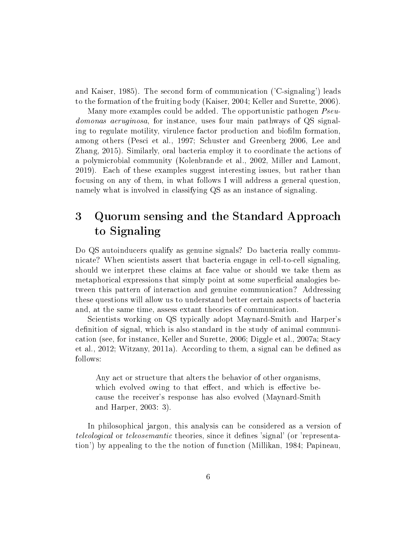and Kaiser, 1985). The second form of communication ('C-signaling') leads to the formation of the fruiting body (Kaiser, 2004; Keller and Surette, 2006).

Many more examples could be added. The opportunistic pathogen  $Pseu$ domonas aeruginosa, for instance, uses four main pathways of QS signaling to regulate motility, virulence factor production and biofilm formation. among others (Pesci et al., 1997; Schuster and Greenberg 2006, Lee and Zhang, 2015). Similarly, oral bacteria employ it to coordinate the actions of a polymicrobial community (Kolenbrande et al., 2002, Miller and Lamont, 2019). Each of these examples suggest interesting issues, but rather than focusing on any of them, in what follows I will address a general question, namely what is involved in classifying QS as an instance of signaling.

# 3 Quorum sensing and the Standard Approach to Signaling

Do QS autoinducers qualify as genuine signals? Do bacteria really communicate? When scientists assert that bacteria engage in cell-to-cell signaling, should we interpret these claims at face value or should we take them as metaphorical expressions that simply point at some superficial analogies between this pattern of interaction and genuine communication? Addressing these questions will allow us to understand better certain aspects of bacteria and, at the same time, assess extant theories of communication.

Scientists working on QS typically adopt Maynard-Smith and Harper's definition of signal, which is also standard in the study of animal communication (see, for instance, Keller and Surette, 2006; Diggle et al., 2007a; Stacy et al., 2012; Witzany, 2011a). According to them, a signal can be defined as follows:

Any act or structure that alters the behavior of other organisms, which evolved owing to that effect, and which is effective because the receiver's response has also evolved (Maynard-Smith and Harper, 2003: 3).

In philosophical jargon, this analysis can be considered as a version of teleological or teleosemantic theories, since it defines 'signal' (or 'representation') by appealing to the the notion of function (Millikan, 1984; Papineau,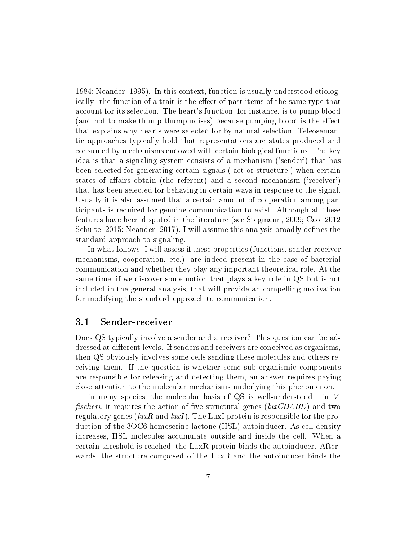1984; Neander, 1995). In this context, function is usually understood etiologically: the function of a trait is the effect of past items of the same type that account for its selection. The heart's function, for instance, is to pump blood (and not to make thump-thump noises) because pumping blood is the effect that explains why hearts were selected for by natural selection. Teleosemantic approaches typically hold that representations are states produced and consumed by mechanisms endowed with certain biological functions. The key idea is that a signaling system consists of a mechanism ('sender') that has been selected for generating certain signals ('act or structure') when certain states of affairs obtain (the referent) and a second mechanism ('receiver') that has been selected for behaving in certain ways in response to the signal. Usually it is also assumed that a certain amount of cooperation among participants is required for genuine communication to exist. Although all these features have been disputed in the literature (see Stegmann, 2009; Cao, 2012 Schulte, 2015; Neander, 2017), I will assume this analysis broadly defines the standard approach to signaling.

In what follows, I will assess if these properties (functions, sender-receiver mechanisms, cooperation, etc.) are indeed present in the case of bacterial communication and whether they play any important theoretical role. At the same time, if we discover some notion that plays a key role in QS but is not included in the general analysis, that will provide an compelling motivation for modifying the standard approach to communication.

#### 3.1 Sender-receiver

Does QS typically involve a sender and a receiver? This question can be addressed at different levels. If senders and receivers are conceived as organisms. then QS obviously involves some cells sending these molecules and others receiving them. If the question is whether some sub-organismic components are responsible for releasing and detecting them, an answer requires paying close attention to the molecular mechanisms underlying this phenomenon.

In many species, the molecular basis of QS is well-understood. In V. fischeri, it requires the action of five structural genes  $(luxCDABE)$  and two regulatory genes ( $luxR$  and  $luxI$ ). The LuxI protein is responsible for the production of the 3OC6-homoserine lactone (HSL) autoinducer. As cell density increases, HSL molecules accumulate outside and inside the cell. When a certain threshold is reached, the LuxR protein binds the autoinducer. Afterwards, the structure composed of the LuxR and the autoinducer binds the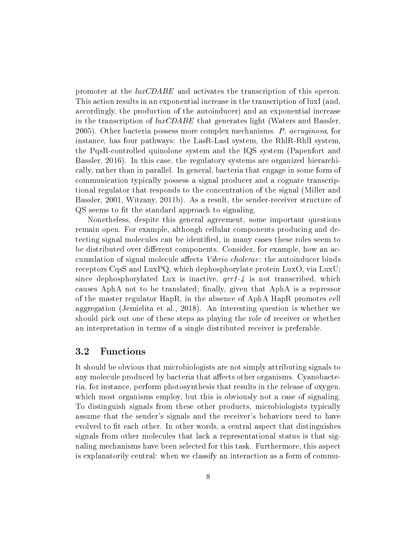promoter at the luxCDABE and activates the transcription of this operon. This action results in an exponential increase in the transcription of luxI (and, accordingly, the production of the autoinducer) and an exponential increase in the transcription of  $luxCDABE$  that generates light (Waters and Bassler, 2005). Other bacteria possess more complex mechanisms. P. aeruginosa, for instance, has four pathways: the LasR-LasI system, the RhlR-RhlI system, the PqsR-controlled quinolone system and the IQS system (Papenfort and Bassler, 2016). In this case, the regulatory systems are organized hierarchically, rather than in parallel. In general, bacteria that engage in some form of communication typically possess a signal producer and a cognate transcriptional regulator that responds to the concentration of the signal (Miller and Bassler, 2001, Witzany, 2011b). As a result, the sender-receiver structure of QS seems to fit the standard approach to signaling.

Nonetheless, despite this general agreement, some important questions remain open. For example, although cellular components producing and detecting signal molecules can be identified, in many cases these roles seem to be distributed over different components. Consider, for example, how an accumulation of signal molecule affects *Vibrio cholerae*: the autoinducer binds receptors CqsS and LuxPQ, which dephosphorylate protein LuxO, via LuxU; since dephosphorylated Lux is inactive,  $\eta r \eta$ - $\eta$  is not transcribed, which causes AphA not to be translated; finally, given that AphA is a repressor of the master regulator HapR, in the absence of AphA HapR promotes cell aggregation (Jemielita et al., 2018). An interesting question is whether we should pick out one of these steps as playing the role of receiver or whether an interpretation in terms of a single distributed receiver is preferable.

### 3.2 Functions

It should be obvious that microbiologists are not simply attributing signals to any molecule produced by bacteria that affects other organisms. Cyanobacteria, for instance, perform photosynthesis that results in the release of oxygen, which most organisms employ, but this is obviously not a case of signaling. To distinguish signals from these other products, microbiologists typically assume that the sender's signals and the receiver's behaviors need to have evolved to fit each other. In other words, a central aspect that distinguishes signals from other molecules that lack a representational status is that signaling mechanisms have been selected for this task. Furthermore, this aspect is explanatorily central: when we classify an interaction as a form of commu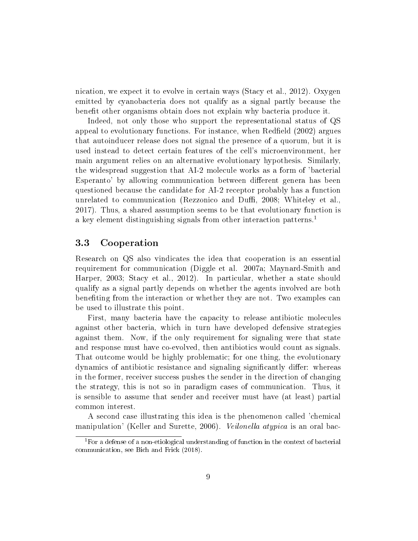nication, we expect it to evolve in certain ways (Stacy et al., 2012). Oxygen emitted by cyanobacteria does not qualify as a signal partly because the benefit other organisms obtain does not explain why bacteria produce it.

Indeed, not only those who support the representational status of QS appeal to evolutionary functions. For instance, when Redfield (2002) argues that autoinducer release does not signal the presence of a quorum, but it is used instead to detect certain features of the cell's microenvironment, her main argument relies on an alternative evolutionary hypothesis. Similarly, the widespread suggestion that AI-2 molecule works as a form of 'bacterial Esperanto' by allowing communication between different genera has been questioned because the candidate for AI-2 receptor probably has a function unrelated to communication (Rezzonico and Duffi, 2008; Whiteley et al., 2017). Thus, a shared assumption seems to be that evolutionary function is a key element distinguishing signals from other interaction patterns.<sup>1</sup>

#### 3.3 Cooperation

Research on QS also vindicates the idea that cooperation is an essential requirement for communication (Diggle et al. 2007a; Maynard-Smith and Harper, 2003; Stacy et al., 2012). In particular, whether a state should qualify as a signal partly depends on whether the agents involved are both beneting from the interaction or whether they are not. Two examples can be used to illustrate this point.

First, many bacteria have the capacity to release antibiotic molecules against other bacteria, which in turn have developed defensive strategies against them. Now, if the only requirement for signaling were that state and response must have co-evolved, then antibiotics would count as signals. That outcome would be highly problematic; for one thing, the evolutionary dynamics of antibiotic resistance and signaling significantly differ: whereas in the former, receiver success pushes the sender in the direction of changing the strategy, this is not so in paradigm cases of communication. Thus, it is sensible to assume that sender and receiver must have (at least) partial common interest.

A second case illustrating this idea is the phenomenon called 'chemical manipulation' (Keller and Surette, 2006). Veilonella atypica is an oral bac-

<sup>&</sup>lt;sup>1</sup>For a defense of a non-etiological understanding of function in the context of bacterial communication, see Bich and Frick (2018).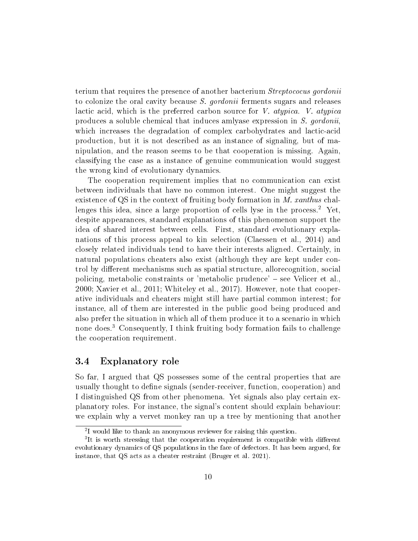terium that requires the presence of another bacterium Streptococus gordonii to colonize the oral cavity because S. gordonii ferments sugars and releases lactic acid, which is the preferred carbon source for V. atypica. V. atypica produces a soluble chemical that induces amlyase expression in S. gordonii, which increases the degradation of complex carbohydrates and lactic-acid production, but it is not described as an instance of signaling, but of manipulation, and the reason seems to be that cooperation is missing. Again, classifying the case as a instance of genuine communication would suggest the wrong kind of evolutionary dynamics.

The cooperation requirement implies that no communication can exist between individuals that have no common interest. One might suggest the existence of QS in the context of fruiting body formation in M. xanthus challenges this idea, since a large proportion of cells lyse in the process.<sup>2</sup> Yet. despite appearances, standard explanations of this phenomenon support the idea of shared interest between cells. First, standard evolutionary explanations of this process appeal to kin selection (Claessen et al., 2014) and closely related individuals tend to have their interests aligned. Certainly, in natural populations cheaters also exist (although they are kept under control by different mechanisms such as spatial structure, allorecognition, social policing, metabolic constraints or 'metabolic prudence'  $-$  see Velicer et al. 2000; Xavier et al., 2011; Whiteley et al., 2017). However, note that cooperative individuals and cheaters might still have partial common interest; for instance, all of them are interested in the public good being produced and also prefer the situation in which all of them produce it to a scenario in which none does.<sup>3</sup> Consequently, I think fruiting body formation fails to challenge the cooperation requirement.

#### 3.4 Explanatory role

So far, I argued that QS possesses some of the central properties that are usually thought to define signals (sender-receiver, function, cooperation) and I distinguished QS from other phenomena. Yet signals also play certain explanatory roles. For instance, the signal's content should explain behaviour: we explain why a vervet monkey ran up a tree by mentioning that another

<sup>2</sup> I would like to thank an anonymous reviewer for raising this question.

<sup>&</sup>lt;sup>3</sup>It is worth stressing that the cooperation requirement is compatible with different evolutionary dynamics of QS populations in the face of defectors. It has been argued, for instance, that QS acts as a cheater restraint (Bruger et al. 2021).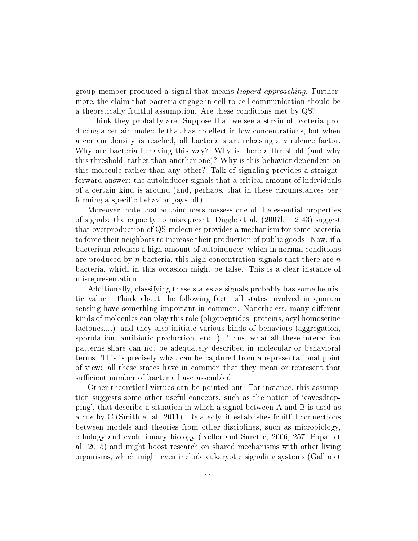group member produced a signal that means leopard approaching. Furthermore, the claim that bacteria engage in cell-to-cell communication should be a theoretically fruitful assumption. Are these conditions met by QS?

I think they probably are. Suppose that we see a strain of bacteria producing a certain molecule that has no effect in low concentrations, but when a certain density is reached, all bacteria start releasing a virulence factor. Why are bacteria behaving this way? Why is there a threshold (and why this threshold, rather than another one)? Why is this behavior dependent on this molecule rather than any other? Talk of signaling provides a straightforward answer: the autoinducer signals that a critical amount of individuals of a certain kind is around (and, perhaps, that in these circumstances performing a specific behavior pays off).

Moreover, note that autoinducers possess one of the essential properties of signals: the capacity to misrepresnt. Diggle et al. (2007b: 12 43) suggest that overproduction of QS molecules provides a mechanism for some bacteria to force their neighbors to increase their production of public goods. Now, if a bacterium releases a high amount of autoinducer, which in normal conditions are produced by n bacteria, this high concentration signals that there are  $n$ bacteria, which in this occasion might be false. This is a clear instance of misrepresentation.

Additionally, classifying these states as signals probably has some heuristic value. Think about the following fact: all states involved in quorum sensing have something important in common. Nonetheless, many different kinds of molecules can play this role (oligopeptides, proteins, acyl homoserine lactones,...) and they also initiate various kinds of behaviors (aggregation, sporulation, antibiotic production, etc...). Thus, what all these interaction patterns share can not be adequately described in molecular or behavioral terms. This is precisely what can be captured from a representational point of view: all these states have in common that they mean or represent that sufficient number of bacteria have assembled.

Other theoretical virtues can be pointed out. For instance, this assumption suggests some other useful concepts, such as the notion of `eavesdropping', that describe a situation in which a signal between A and B is used as a cue by C (Smith et al. 2011). Relatedly, it establishes fruitful connections between models and theories from other disciplines, such as microbiology, ethology and evolutionary biology (Keller and Surette, 2006, 257; Popat et al. 2015) and might boost research on shared mechanisms with other living organisms, which might even include eukaryotic signaling systems (Gallio et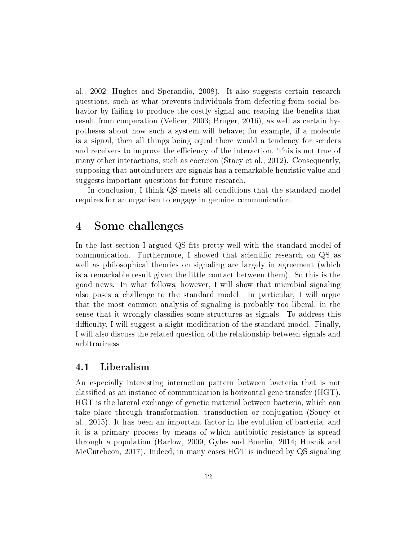al., 2002; Hughes and Sperandio, 2008). It also suggests certain research questions, such as what prevents individuals from defecting from social behavior by failing to produce the costly signal and reaping the benefits that result from cooperation (Velicer, 2003; Bruger, 2016), as well as certain hypotheses about how such a system will behave; for example, if a molecule is a signal, then all things being equal there would a tendency for senders and receivers to improve the efficiency of the interaction. This is not true of many other interactions, such as coercion (Stacy et al., 2012). Consequently, supposing that autoinducers are signals has a remarkable heuristic value and suggests important questions for future research.

In conclusion, I think QS meets all conditions that the standard model requires for an organism to engage in genuine communication.

## 4 Some challenges

In the last section I argued QS fits pretty well with the standard model of communication. Furthermore, I showed that scientific research on QS as well as philosophical theories on signaling are largely in agreement (which is a remarkable result given the little contact between them). So this is the good news. In what follows, however, I will show that microbial signaling also poses a challenge to the standard model. In particular, I will argue that the most common analysis of signaling is probably too liberal, in the sense that it wrongly classies some structures as signals. To address this difficulty, I will suggest a slight modification of the standard model. Finally, I will also discuss the related question of the relationship between signals and arbitrariness.

### 4.1 Liberalism

An especially interesting interaction pattern between bacteria that is not classied as an instance of communication is horizontal gene transfer (HGT). HGT is the lateral exchange of genetic material between bacteria, which can take place through transformation, transduction or conjugation (Soucy et al., 2015). It has been an important factor in the evolution of bacteria, and it is a primary process by means of which antibiotic resistance is spread through a population (Barlow, 2009, Gyles and Boerlin, 2014; Husnik and McCutcheon, 2017). Indeed, in many cases HGT is induced by QS signaling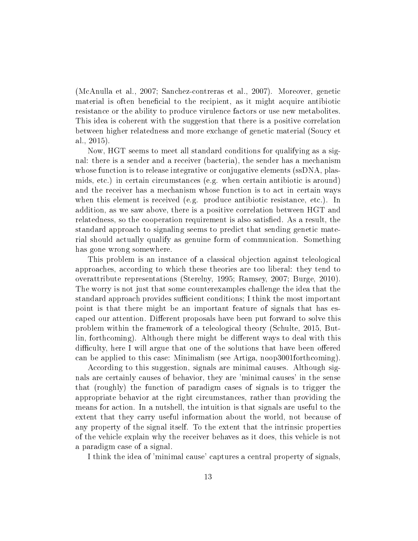(McAnulla et al., 2007; Sanchez-contreras et al., 2007). Moreover, genetic material is often beneficial to the recipient, as it might acquire antibiotic resistance or the ability to produce virulence factors or use new metabolites. This idea is coherent with the suggestion that there is a positive correlation between higher relatedness and more exchange of genetic material (Soucy et al., 2015).

Now, HGT seems to meet all standard conditions for qualifying as a signal: there is a sender and a receiver (bacteria), the sender has a mechanism whose function is to release integrative or conjugative elements (ssDNA, plasmids, etc.) in certain circumstances (e.g. when certain antibiotic is around) and the receiver has a mechanism whose function is to act in certain ways when this element is received (e.g. produce antibiotic resistance, etc.). In addition, as we saw above, there is a positive correlation between HGT and relatedness, so the cooperation requirement is also satisfied. As a result, the standard approach to signaling seems to predict that sending genetic material should actually qualify as genuine form of communication. Something has gone wrong somewhere.

This problem is an instance of a classical objection against teleological approaches, according to which these theories are too liberal: they tend to overattribute representations (Sterelny, 1995; Ramsey, 2007; Burge, 2010). The worry is not just that some counterexamples challenge the idea that the standard approach provides sufficient conditions; I think the most important point is that there might be an important feature of signals that has escaped our attention. Different proposals have been put forward to solve this problem within the framework of a teleological theory (Schulte, 2015, Butlin, forthcoming). Although there might be different ways to deal with this difficulty, here I will argue that one of the solutions that have been offered can be applied to this case: Minimalism (see Artiga, noop3001forthcoming).

According to this suggestion, signals are minimal causes. Although signals are certainly causes of behavior, they are 'minimal causes' in the sense that (roughly) the function of paradigm cases of signals is to trigger the appropriate behavior at the right circumstances, rather than providing the means for action. In a nutshell, the intuition is that signals are useful to the extent that they carry useful information about the world, not because of any property of the signal itself. To the extent that the intrinsic properties of the vehicle explain why the receiver behaves as it does, this vehicle is not a paradigm case of a signal.

I think the idea of 'minimal cause' captures a central property of signals,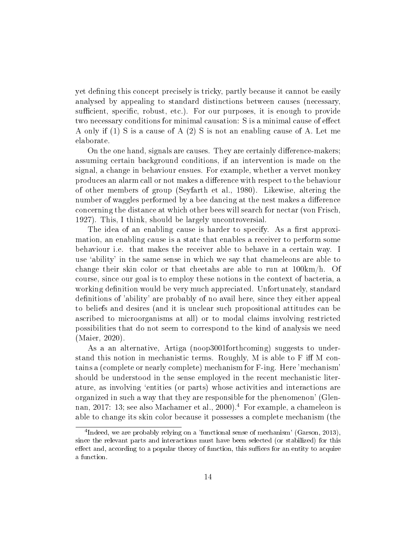yet defining this concept precisely is tricky, partly because it cannot be easily analysed by appealing to standard distinctions between causes (necessary, sufficient, specific, robust, etc.). For our purposes, it is enough to provide two necessary conditions for minimal causation: S is a minimal cause of effect A only if (1) S is a cause of A (2) S is not an enabling cause of A. Let me elaborate.

On the one hand, signals are causes. They are certainly difference-makers; assuming certain background conditions, if an intervention is made on the signal, a change in behaviour ensues. For example, whether a vervet monkey produces an alarm call or not makes a dierence with respect to the behaviour of other members of group (Seyfarth et al., 1980). Likewise, altering the number of waggles performed by a bee dancing at the nest makes a difference concerning the distance at which other bees will search for nectar (von Frisch, 1927). This, I think, should be largely uncontroversial.

The idea of an enabling cause is harder to specify. As a first approximation, an enabling cause is a state that enables a receiver to perform some behaviour i.e. that makes the receiver able to behave in a certain way. I use `ability' in the same sense in which we say that chameleons are able to change their skin color or that cheetahs are able to run at 100km/h. Of course, since our goal is to employ these notions in the context of bacteria, a working definition would be very much appreciated. Unfortunately, standard definitions of 'ability' are probably of no avail here, since they either appeal to beliefs and desires (and it is unclear such propositional attitudes can be ascribed to microorganisms at all) or to modal claims involving restricted possibilities that do not seem to correspond to the kind of analysis we need (Maier, 2020).

As a an alternative, Artiga (noop3001forthcoming) suggests to understand this notion in mechanistic terms. Roughly, M is able to  $F$  iff M contains a (complete or nearly complete) mechanism for F-ing. Here 'mechanism' should be understood in the sense employed in the recent mechanistic literature, as involving `entities (or parts) whose activities and interactions are organized in such a way that they are responsible for the phenomenon' (Glennan, 2017: 13; see also Machamer et al., 2000).<sup>4</sup> For example, a chameleon is able to change its skin color because it possesses a complete mechanism (the

<sup>&</sup>lt;sup>4</sup>Indeed, we are probably relying on a 'functional sense of mechanism' (Garson, 2013), since the relevant parts and interactions must have been selected (or stabilized) for this effect and, according to a popular theory of function, this suffices for an entity to acquire a function.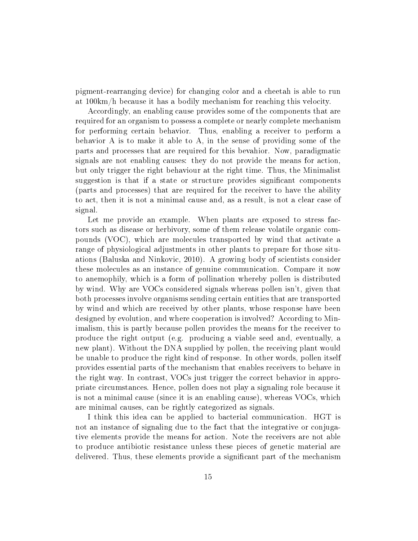pigment-rearranging device) for changing color and a cheetah is able to run at 100km/h because it has a bodily mechanism for reaching this velocity.

Accordingly, an enabling cause provides some of the components that are required for an organism to possess a complete or nearly complete mechanism for performing certain behavior. Thus, enabling a receiver to perform a behavior A is to make it able to A, in the sense of providing some of the parts and processes that are required for this bevahior. Now, paradigmatic signals are not enabling causes: they do not provide the means for action, but only trigger the right behaviour at the right time. Thus, the Minimalist suggestion is that if a state or structure provides significant components (parts and processes) that are required for the receiver to have the ability to act, then it is not a minimal cause and, as a result, is not a clear case of signal.

Let me provide an example. When plants are exposed to stress factors such as disease or herbivory, some of them release volatile organic compounds (VOC), which are molecules transported by wind that activate a range of physiological adjustments in other plants to prepare for those situations (Baluska and Ninkovic, 2010). A growing body of scientists consider these molecules as an instance of genuine communication. Compare it now to anemophily, which is a form of pollination whereby pollen is distributed by wind. Why are VOCs considered signals whereas pollen isn't, given that both processes involve organisms sending certain entities that are transported by wind and which are received by other plants, whose response have been designed by evolution, and where cooperation is involved? According to Minimalism, this is partly because pollen provides the means for the receiver to produce the right output (e.g. producing a viable seed and, eventually, a new plant). Without the DNA supplied by pollen, the receiving plant would be unable to produce the right kind of response. In other words, pollen itself provides essential parts of the mechanism that enables receivers to behave in the right way. In contrast, VOCs just trigger the correct behavior in appropriate circumstances. Hence, pollen does not play a signaling role because it is not a minimal cause (since it is an enabling cause), whereas VOCs, which are minimal causes, can be rightly categorized as signals.

I think this idea can be applied to bacterial communication. HGT is not an instance of signaling due to the fact that the integrative or conjugative elements provide the means for action. Note the receivers are not able to produce antibiotic resistance unless these pieces of genetic material are delivered. Thus, these elements provide a significant part of the mechanism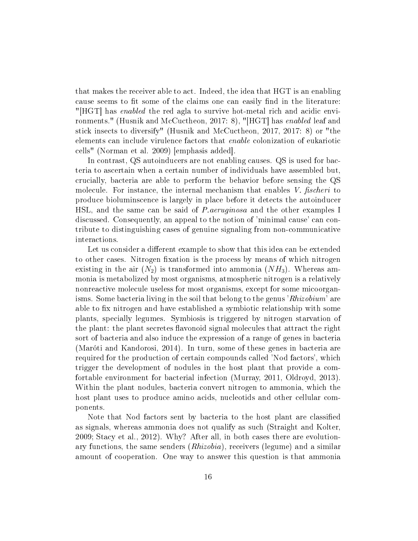that makes the receiver able to act. Indeed, the idea that HGT is an enabling cause seems to fit some of the claims one can easily find in the literature: "[HGT] has enabled the red agla to survive hot-metal rich and acidic environments." (Husnik and McCuctheon, 2017: 8), "[HGT] has enabled leaf and stick insects to diversify" (Husnik and McCuctheon, 2017, 2017: 8) or "the elements can include virulence factors that enable colonization of eukariotic cells" (Norman et al. 2009) [emphasis added].

In contrast, QS autoinducers are not enabling causes. QS is used for bacteria to ascertain when a certain number of individuals have assembled but, crucially, bacteria are able to perform the behavior before sensing the QS molecule. For instance, the internal mechanism that enables  $V$ . fischeri to produce bioluminscence is largely in place before it detects the autoinducer HSL, and the same can be said of P.aeruginosa and the other examples I discussed. Consequently, an appeal to the notion of 'minimal cause' can contribute to distinguishing cases of genuine signaling from non-communicative interactions.

Let us consider a different example to show that this idea can be extended to other cases. Nitrogen fixation is the process by means of which nitrogen existing in the air  $(N_2)$  is transformed into ammonia  $(NH_3)$ . Whereas ammonia is metabolized by most organisms, atmospheric nitrogen is a relatively nonreactive molecule useless for most organisms, except for some micoorganisms. Some bacteria living in the soil that belong to the genus '*Rhizobium*' are able to fix nitrogen and have established a symbiotic relationship with some plants, specially legumes. Symbiosis is triggered by nitrogen starvation of the plant: the plant secretes flavonoid signal molecules that attract the right sort of bacteria and also induce the expression of a range of genes in bacteria (Maróti and Kandorosi, 2014). In turn, some of these genes in bacteria are required for the production of certain compounds called 'Nod factors', which trigger the development of nodules in the host plant that provide a comfortable environment for bacterial infection (Murray, 2011, Oldroyd, 2013). Within the plant nodules, bacteria convert nitrogen to ammonia, which the host plant uses to produce amino acids, nucleotids and other cellular components.

Note that Nod factors sent by bacteria to the host plant are classied as signals, whereas ammonia does not qualify as such (Straight and Kolter, 2009; Stacy et al., 2012). Why? After all, in both cases there are evolutionary functions, the same senders (Rhizobia), receivers (legume) and a similar amount of cooperation. One way to answer this question is that ammonia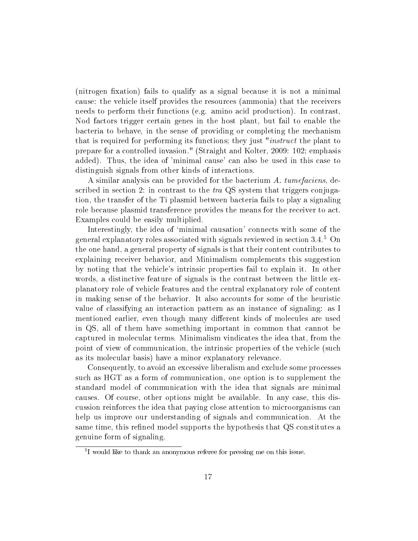(nitrogen fixation) fails to qualify as a signal because it is not a minimal cause: the vehicle itself provides the resources (ammonia) that the receivers needs to perform their functions (e.g. amino acid production). In contrast, Nod factors trigger certain genes in the host plant, but fail to enable the bacteria to behave, in the sense of providing or completing the mechanism that is required for performing its functions; they just "instruct the plant to prepare for a controlled invasion." (Straight and Kolter, 2009: 102; emphasis added). Thus, the idea of 'minimal cause' can also be used in this case to distinguish signals from other kinds of interactions.

A similar analysis can be provided for the bacterium A. tumefaciens, described in section 2: in contrast to the  $tra$  QS system that triggers conjugation, the transfer of the Ti plasmid between bacteria fails to play a signaling role because plasmid transference provides the means for the receiver to act. Examples could be easily multiplied.

Interestingly, the idea of 'minimal causation' connects with some of the general explanatory roles associated with signals reviewed in section 3.4.<sup>5</sup> On the one hand, a general property of signals is that their content contributes to explaining receiver behavior, and Minimalism complements this suggestion by noting that the vehicle's intrinsic properties fail to explain it. In other words, a distinctive feature of signals is the contrast between the little explanatory role of vehicle features and the central explanatory role of content in making sense of the behavior. It also accounts for some of the heuristic value of classifying an interaction pattern as an instance of signaling: as I mentioned earlier, even though many different kinds of molecules are used in QS, all of them have something important in common that cannot be captured in molecular terms. Minimalism vindicates the idea that, from the point of view of communication, the intrinsic properties of the vehicle (such as its molecular basis) have a minor explanatory relevance.

Consequently, to avoid an excessive liberalism and exclude some processes such as HGT as a form of communication, one option is to supplement the standard model of communication with the idea that signals are minimal causes. Of course, other options might be available. In any case, this discussion reinforces the idea that paying close attention to microorganisms can help us improve our understanding of signals and communication. At the same time, this refined model supports the hypothesis that QS constitutes a genuine form of signaling.

<sup>5</sup> I would like to thank an anonymous referee for pressing me on this issue.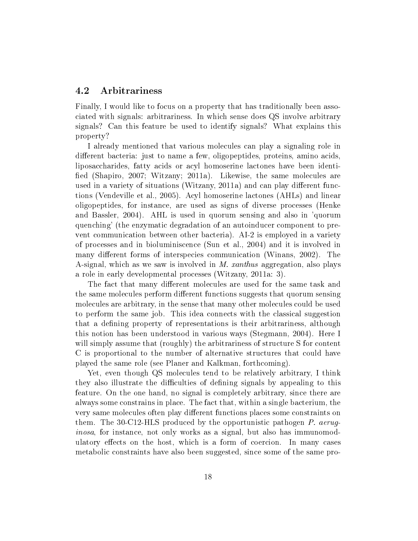### 4.2 Arbitrariness

Finally, I would like to focus on a property that has traditionally been associated with signals: arbitrariness. In which sense does QS involve arbitrary signals? Can this feature be used to identify signals? What explains this property?

I already mentioned that various molecules can play a signaling role in different bacteria: just to name a few, oligopeptides, proteins, amino acids, liposaccharides, fatty acids or acyl homoserine lactones have been identi fied (Shapiro, 2007; Witzany; 2011a). Likewise, the same molecules are used in a variety of situations (Witzany, 2011a) and can play different functions (Vendeville et al., 2005). Acyl homoserine lactones (AHLs) and linear oligopeptides, for instance, are used as signs of diverse processes (Henke and Bassler, 2004). AHL is used in quorum sensing and also in 'quorum quenching' (the enzymatic degradation of an autoinducer component to prevent communication between other bacteria). AI-2 is employed in a variety of processes and in bioluminiscence (Sun et al., 2004) and it is involved in many different forms of interspecies communication (Winans, 2002). The A-signal, which as we saw is involved in M. xanthus aggregation, also plays a role in early developmental processes (Witzany, 2011a: 3).

The fact that many different molecules are used for the same task and the same molecules perform different functions suggests that quorum sensing molecules are arbitrary, in the sense that many other molecules could be used to perform the same job. This idea connects with the classical suggestion that a defining property of representations is their arbitrariness, although this notion has been understood in various ways (Stegmann, 2004). Here I will simply assume that (roughly) the arbitrariness of structure S for content C is proportional to the number of alternative structures that could have played the same role (see Planer and Kalkman, forthcoming).

Yet, even though QS molecules tend to be relatively arbitrary, I think they also illustrate the difficulties of defining signals by appealing to this feature. On the one hand, no signal is completely arbitrary, since there are always some constrains in place. The fact that, within a single bacterium, the very same molecules often play different functions places some constraints on them. The 30-C12-HLS produced by the opportunistic pathogen P. aeruginosa, for instance, not only works as a signal, but also has immunomodulatory effects on the host, which is a form of coercion. In many cases metabolic constraints have also been suggested, since some of the same pro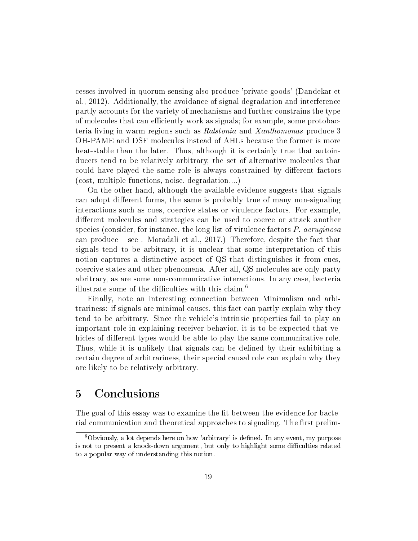cesses involved in quorum sensing also produce 'private goods' (Dandekar et al., 2012). Additionally, the avoidance of signal degradation and interference partly accounts for the variety of mechanisms and further constrains the type of molecules that can efficiently work as signals; for example, some protobacteria living in warm regions such as Ralstonia and Xanthomonas produce 3 OH-PAME and DSF molecules instead of AHLs because the former is more heat-stable than the later. Thus, although it is certainly true that autoinducers tend to be relatively arbitrary, the set of alternative molecules that could have played the same role is always constrained by different factors (cost, multiple functions, noise, degradation,...)

On the other hand, although the available evidence suggests that signals can adopt different forms, the same is probably true of many non-signaling interactions such as cues, coercive states or virulence factors. For example, different molecules and strategies can be used to coerce or attack another species (consider, for instance, the long list of virulence factors  $P$ . aeruginosa can produce  $-$  see. Moradali et al., 2017.) Therefore, despite the fact that signals tend to be arbitrary, it is unclear that some interpretation of this notion captures a distinctive aspect of QS that distinguishes it from cues, coercive states and other phenomena. After all, QS molecules are only party abritrary, as are some non-communicative interactions. In any case, bacteria illustrate some of the difficulties with this claim.<sup>6</sup>

Finally, note an interesting connection between Minimalism and arbitrariness: if signals are minimal causes, this fact can partly explain why they tend to be arbitrary. Since the vehicle's intrinsic properties fail to play an important role in explaining receiver behavior, it is to be expected that vehicles of different types would be able to play the same communicative role. Thus, while it is unlikely that signals can be defined by their exhibiting a certain degree of arbitrariness, their special causal role can explain why they are likely to be relatively arbitrary.

# 5 Conclusions

The goal of this essay was to examine the fit between the evidence for bacterial communication and theoretical approaches to signaling. The first prelim-

 $6$ Obviously, a lot depends here on how 'arbitrary' is defined. In any event, my purpose is not to present a knock-down argument, but only to highlight some difficulties related to a popular way of understanding this notion.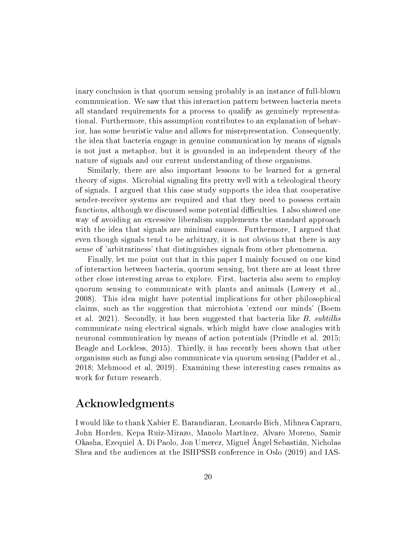inary conclusion is that quorum sensing probably is an instance of full-blown communication. We saw that this interaction pattern between bacteria meets all standard requirements for a process to qualify as genuinely representational. Furthermore, this assumption contributes to an explanation of behavior, has some heuristic value and allows for misrepresentation. Consequently, the idea that bacteria engage in genuine communication by means of signals is not just a metaphor, but it is grounded in an independent theory of the nature of signals and our current understanding of these organisms.

Similarly, there are also important lessons to be learned for a general theory of signs. Microbial signaling fits pretty well with a teleological theory of signals. I argued that this case study supports the idea that cooperative sender-receiver systems are required and that they need to possess certain functions, although we discussed some potential difficulties. I also showed one way of avoiding an excessive liberalism supplements the standard approach with the idea that signals are minimal causes. Furthermore, I argued that even though signals tend to be arbitrary, it is not obvious that there is any sense of 'arbitrariness' that distinguishes signals from other phenomena.

Finally, let me point out that in this paper I mainly focused on one kind of interaction between bacteria, quorum sensing, but there are at least three other close interesting areas to explore. First, bacteria also seem to employ quorum sensing to communicate with plants and animals (Lowery et al., 2008). This idea might have potential implications for other philosophical claims, such as the suggestion that microbiota 'extend our minds' (Boem et al. 2021). Secondly, it has been suggested that bacteria like B. subtillis communicate using electrical signals, which might have close analogies with neuronal communication by means of action potentials (Prindle et al. 2015; Beagle and Lockless, 2015). Thirdly, it has recently been shown that other organisms such as fungi also communicate via quorum sensing (Padder et al., 2018; Mehmood et al, 2019). Examining these interesting cases remains as work for future research.

### Acknowledgments

I would like to thank Xabier E. Barandiaran, Leonardo Bich, Mihnea Capraru, John Horden, Kepa Ruiz-Mirazo, Manolo Martínez, Alvaro Moreno, Samir Okasha, Ezequiel A. Di Paolo, Jon Umerez, Miguel Ángel Sebastián, Nicholas Shea and the audiences at the ISHPSSB conference in Oslo (2019) and IAS-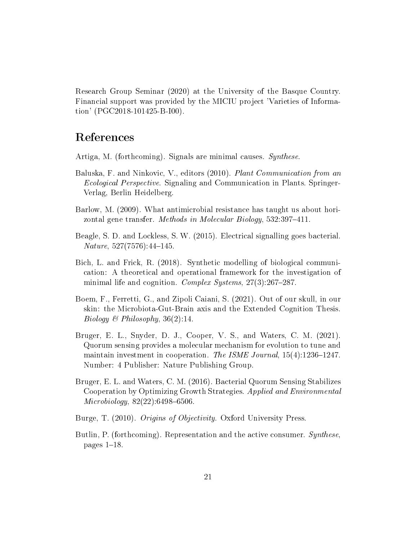Research Group Seminar (2020) at the University of the Basque Country. Financial support was provided by the MICIU project 'Varieties of Information' (PGC2018-101425-B-I00).

## References

Artiga, M. (forthcoming). Signals are minimal causes. Synthese.

- Baluska, F. and Ninkovic, V., editors (2010). Plant Communication from an Ecological Perspective. Signaling and Communication in Plants. Springer-Verlag, Berlin Heidelberg.
- Barlow, M. (2009). What antimicrobial resistance has taught us about horizontal gene transfer. Methods in Molecular Biology, 532:397-411.
- Beagle, S. D. and Lockless, S. W. (2015). Electrical signalling goes bacterial.  $Nature, 527(7576):44–145.$
- Bich, L. and Frick, R. (2018). Synthetic modelling of biological communication: A theoretical and operational framework for the investigation of minimal life and cognition. Complex Systems,  $27(3):267-287$ .
- Boem, F., Ferretti, G., and Zipoli Caiani, S. (2021). Out of our skull, in our skin: the Microbiota-Gut-Brain axis and the Extended Cognition Thesis. Biology & Philosophy,  $36(2)$ :14.
- Bruger, E. L., Snyder, D. J., Cooper, V. S., and Waters, C. M. (2021). Quorum sensing provides a molecular mechanism for evolution to tune and maintain investment in cooperation. The ISME Journal,  $15(4)$ :1236-1247. Number: 4 Publisher: Nature Publishing Group.
- Bruger, E. L. and Waters, C. M. (2016). Bacterial Quorum Sensing Stabilizes Cooperation by Optimizing Growth Strategies. Applied and Environmental  $Microbiology, 82(22):6498-6506.$
- Burge, T. (2010). *Origins of Objectivity*. Oxford University Press.
- Butlin, P. (forthcoming). Representation and the active consumer. *Synthese*, pages  $1-18$ .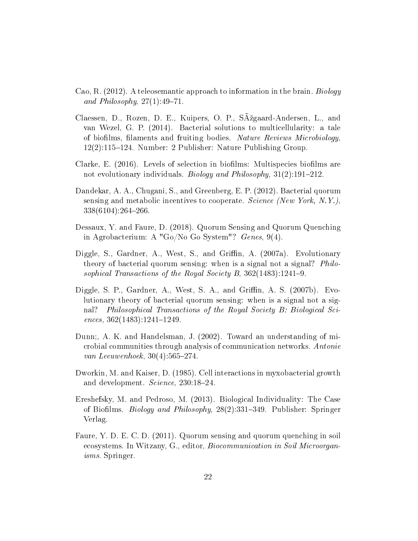- Cao, R. (2012). A teleosemantic approach to information in the brain. Biology and Philosophy,  $27(1):49-71$ .
- Claessen, D., Rozen, D. E., Kuipers, O. P., S $\tilde{A}$ žgaard-Andersen, L., and van Wezel, G. P. (2014). Bacterial solutions to multicellularity: a tale of biofilms, filaments and fruiting bodies. Nature Reviews Microbiology,  $12(2):115-124.$  Number: 2 Publisher: Nature Publishing Group.
- Clarke, E.  $(2016)$ . Levels of selection in biofilms: Multispecies biofilms are not evolutionary individuals. Biology and Philosophy,  $31(2):191-212$ .
- Dandekar, A. A., Chugani, S., and Greenberg, E. P. (2012). Bacterial quorum sensing and metabolic incentives to cooperate. Science (New York, N.Y.),  $338(6104):264-266.$
- Dessaux, Y. and Faure, D. (2018). Quorum Sensing and Quorum Quenching in Agrobacterium: A "Go/No Go System"? Genes, 9(4).
- Diggle, S., Gardner, A., West, S., and Griffin, A. (2007a). Evolutionary theory of bacterial quorum sensing: when is a signal not a signal? Philosophical Transactions of the Royal Society B,  $362(1483):1241-9$ .
- Diggle, S. P., Gardner, A., West, S. A., and Griffin, A. S.  $(2007b)$ . Evolutionary theory of bacterial quorum sensing: when is a signal not a signal? Philosophical Transactions of the Royal Society B: Biological Sci $ences, 362(1483):1241-1249.$
- Dunn;, A. K. and Handelsman, J. (2002). Toward an understanding of microbial communities through analysis of communication networks. Antonie van Leeuwenhoek,  $30(4):565-274$ .
- Dworkin, M. and Kaiser, D. (1985). Cell interactions in myxobacterial growth and development. Science, 230:18-24.
- Ereshefsky, M. and Pedroso, M. (2013). Biological Individuality: The Case of Biofilms. *Biology and Philosophy*, 28(2):331-349. Publisher: Springer Verlag.
- Faure, Y. D. E. C. D. (2011). Quorum sensing and quorum quenching in soil ecosystems. In Witzany, G., editor, Biocommunication in Soil Microorganisms. Springer.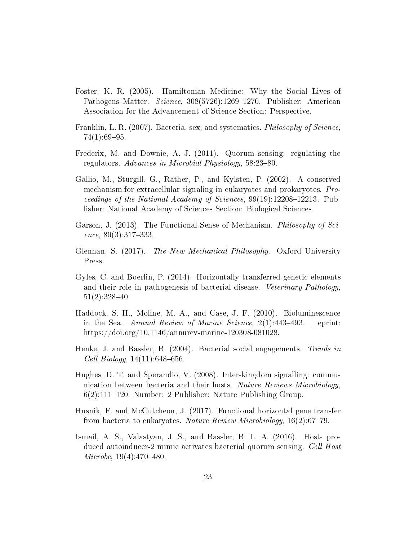- Foster, K. R. (2005). Hamiltonian Medicine: Why the Social Lives of Pathogens Matter. Science, 308(5726):1269–1270. Publisher: American Association for the Advancement of Science Section: Perspective.
- Franklin, L. R. (2007). Bacteria, sex, and systematics. Philosophy of Science,  $74(1):69-95.$
- Frederix, M. and Downie, A. J. (2011). Quorum sensing: regulating the regulators. Advances in Microbial Physiology,  $58:23-80$ .
- Gallio, M., Sturgill, G., Rather, P., and Kylsten, P. (2002). A conserved mechanism for extracellular signaling in eukaryotes and prokaryotes. Proceedings of the National Academy of Sciences,  $99(19):12208-12213$ . Publisher: National Academy of Sciences Section: Biological Sciences.
- Garson, J. (2013). The Functional Sense of Mechanism. Philosophy of Science,  $80(3):317-333$ .
- Glennan, S. (2017). The New Mechanical Philosophy. Oxford University Press.
- Gyles, C. and Boerlin, P. (2014). Horizontally transferred genetic elements and their role in pathogenesis of bacterial disease. Veterinary Pathology,  $51(2):328-40.$
- Haddock, S. H., Moline, M. A., and Case, J. F. (2010). Bioluminescence in the Sea. Annual Review of Marine Science,  $2(1)$ :443-493. eprint: https://doi.org/10.1146/annurev-marine-120308-081028.
- Henke, J. and Bassler, B. (2004). Bacterial social engagements. Trends in  $Cell Biology, 14(11):648-656.$
- Hughes, D. T. and Sperandio, V. (2008). Inter-kingdom signalling: communication between bacteria and their hosts. Nature Reviews Microbiology, 6(2):111–120. Number: 2 Publisher: Nature Publishing Group.
- Husnik, F. and McCutcheon, J. (2017). Functional horizontal gene transfer from bacteria to eukaryotes. Nature Review Microbiology,  $16(2)$ :67-79.
- Ismail, A. S., Valastyan, J. S., and Bassler, B. L. A. (2016). Host- produced autoinducer-2 mimic activates bacterial quorum sensing. Cell Host  $Microbe, 19(4):470-480.$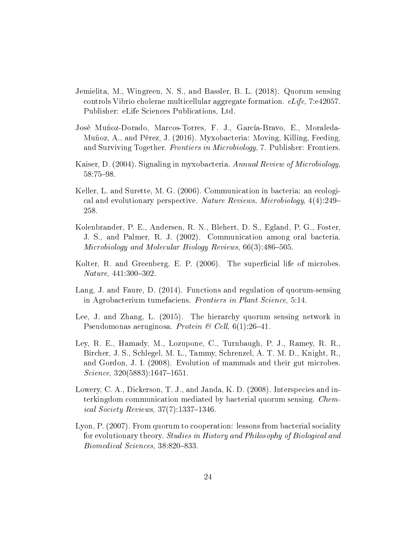- Jemielita, M., Wingreen, N. S., and Bassler, B. L. (2018). Quorum sensing controls Vibrio cholerae multicellular aggregate formation. eLife, 7:e42057. Publisher: eLife Sciences Publications, Ltd.
- José Muñoz-Dorado, Marcos-Torres, F. J., García-Bravo, E., Moraleda-Muñoz, A., and Pérez, J. (2016). Myxobacteria: Moving, Killing, Feeding, and Surviving Together. Frontiers in Microbiology, 7. Publisher: Frontiers.
- Kaiser, D. (2004). Signaling in myxobacteria. Annual Review of Microbiology, 58:75-98.
- Keller, L. and Surette, M. G. (2006). Communication in bacteria: an ecological and evolutionary perspective. Nature Reviews. Microbiology, 4(4):249 258.
- Kolenbrander, P. E., Andersen, R. N., Blehert, D. S., Egland, P. G., Foster, J. S., and Palmer, R. J. (2002). Communication among oral bacteria. Microbiology and Molecular Biology Reviews,  $66(3):486-505$ .
- Kolter, R. and Greenberg, E. P.  $(2006)$ . The superficial life of microbes.  $Nature, 441:300-302.$
- Lang, J. and Faure, D. (2014). Functions and regulation of quorum-sensing in Agrobacterium tumefaciens. Frontiers in Plant Science, 5:14.
- Lee, J. and Zhang, L. (2015). The hierarchy quorum sensing network in Pseudomonas aeruginosa. Protein & Cell,  $6(1):26-41$ .
- Ley, R. E., Hamady, M., Lozupone, C., Turnbaugh, P. J., Ramey, R. R., Bircher, J. S., Schlegel, M. L., Tammy, Schrenzel, A. T. M. D., Knight, R., and Gordon, J. I. (2008). Evolution of mammals and their gut microbes.  $Science, 320(5883):1647-1651.$
- Lowery, C. A., Dickerson, T. J., and Janda, K. D. (2008). Interspecies and interkingdom communication mediated by bacterial quorum sensing. Chem*ical Society Reviews,*  $37(7)$ :1337-1346.
- Lyon, P. (2007). From quorum to cooperation: lessons from bacterial sociality for evolutionary theory. Studies in History and Philosophy of Biological and Biomedical Sciences, 38:820-833.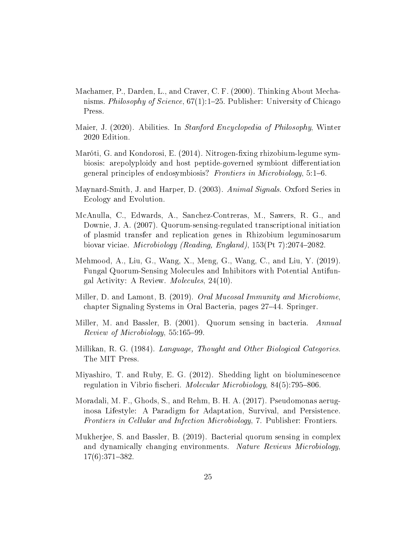- Machamer, P., Darden, L., and Craver, C. F. (2000). Thinking About Mechanisms. Philosophy of Science,  $67(1)$ :1-25. Publisher: University of Chicago Press.
- Maier, J. (2020). Abilities. In Stanford Encyclopedia of Philosophy, Winter 2020 Edition.
- Maróti, G. and Kondorosi, E. (2014). Nitrogen-fixing rhizobium-legume symbiosis: arepolyploidy and host peptide-governed symbiont differentiation general principles of endosymbiosis? Frontiers in Microbiology,  $5:1-6$ .
- Maynard-Smith, J. and Harper, D. (2003). Animal Signals. Oxford Series in Ecology and Evolution.
- McAnulla, C., Edwards, A., Sanchez-Contreras, M., Sawers, R. G., and Downie, J. A. (2007). Quorum-sensing-regulated transcriptional initiation of plasmid transfer and replication genes in Rhizobium leguminosarum biovar viciae. *Microbiology (Reading, England)*, 153(Pt 7):2074–2082.
- Mehmood, A., Liu, G., Wang, X., Meng, G., Wang, C., and Liu, Y. (2019). Fungal Quorum-Sensing Molecules and Inhibitors with Potential Antifungal Activity: A Review. Molecules, 24(10).
- Miller, D. and Lamont, B. (2019). Oral Mucosal Immunity and Microbiome, chapter Signaling Systems in Oral Bacteria, pages 27–44. Springer.
- Miller, M. and Bassler, B. (2001). Quorum sensing in bacteria. Annual Review of Microbiology, 55:165-99.
- Millikan, R. G. (1984). Language, Thought and Other Biological Categories. The MIT Press.
- Miyashiro, T. and Ruby, E. G. (2012). Shedding light on bioluminescence regulation in Vibrio fischeri. Molecular Microbiology,  $84(5)$ :795-806.
- Moradali, M. F., Ghods, S., and Rehm, B. H. A. (2017). Pseudomonas aeruginosa Lifestyle: A Paradigm for Adaptation, Survival, and Persistence. Frontiers in Cellular and Infection Microbiology, 7. Publisher: Frontiers.
- Mukherjee, S. and Bassler, B. (2019). Bacterial quorum sensing in complex and dynamically changing environments. Nature Reviews Microbiology,  $17(6):371-382.$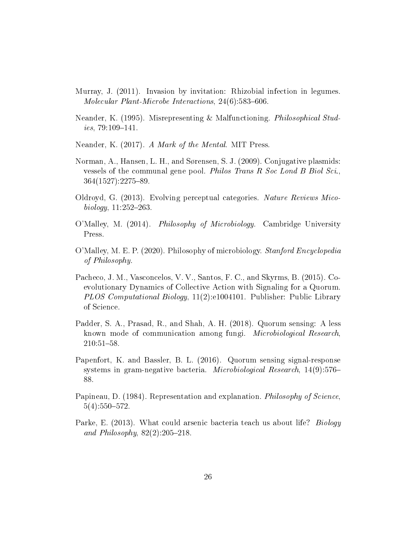- Murray, J. (2011). Invasion by invitation: Rhizobial infection in legumes. Molecular Plant-Microbe Interactions,  $24(6)$ :583-606.
- Neander, K. (1995). Misrepresenting & Malfunctioning. Philosophical Stud $ies, 79:109-141.$
- Neander, K. (2017). A Mark of the Mental. MIT Press.
- Norman, A., Hansen, L. H., and Sørensen, S. J. (2009). Conjugative plasmids: vessels of the communal gene pool. Philos Trans R Soc Lond B Biol Sci.,  $364(1527):2275-89.$
- Oldroyd, G. (2013). Evolving perceptual categories. Nature Reviews Mico $biology, 11:252 - 263.$
- O'Malley, M. (2014). Philosophy of Microbiology. Cambridge University Press.
- O'Malley, M. E. P. (2020). Philosophy of microbiology. Stanford Encyclopedia of Philosophy.
- Pacheco, J. M., Vasconcelos, V. V., Santos, F. C., and Skyrms, B. (2015). Coevolutionary Dynamics of Collective Action with Signaling for a Quorum. PLOS Computational Biology, 11(2):e1004101. Publisher: Public Library of Science.
- Padder, S. A., Prasad, R., and Shah, A. H. (2018). Quorum sensing: A less known mode of communication among fungi. Microbiological Research, 210:51-58.
- Papenfort, K. and Bassler, B. L. (2016). Quorum sensing signal-response systems in gram-negative bacteria. Microbiological Research, 14(9):576 88.
- Papineau, D. (1984). Representation and explanation. Philosophy of Science,  $5(4):550-572.$
- Parke, E. (2013). What could arsenic bacteria teach us about life? Biology and Philosophy,  $82(2):205-218$ .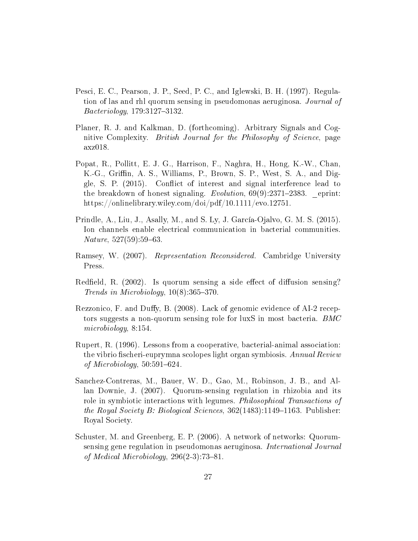- Pesci, E. C., Pearson, J. P., Seed, P. C., and Iglewski, B. H. (1997). Regulation of las and rhl quorum sensing in pseudomonas aeruginosa. Journal of  $Bacteriology, 179:3127-3132.$
- Planer, R. J. and Kalkman, D. (forthcoming). Arbitrary Signals and Cognitive Complexity. British Journal for the Philosophy of Science, page axz018.
- Popat, R., Pollitt, E. J. G., Harrison, F., Naghra, H., Hong, K.-W., Chan, K.-G., Griffin, A. S., Williams, P., Brown, S. P., West, S. A., and Diggle, S. P. (2015). Conflict of interest and signal interference lead to the breakdown of honest signaling.  $Evolution$ ,  $69(9):2371-2383$ . eprint: https://onlinelibrary.wiley.com/doi/pdf/10.1111/evo.12751.
- Prindle, A., Liu, J., Asally, M., and S. Ly, J. García-Ojalvo, G. M. S. (2015). Ion channels enable electrical communication in bacterial communities.  $Nature, 527(59):59-63.$
- Ramsey, W. (2007). Representation Reconsidered. Cambridge University Press.
- Redfield, R.  $(2002)$ . Is quorum sensing a side effect of diffusion sensing? Trends in Microbiology,  $10(8):365-370$ .
- Rezzonico, F. and Duffy, B.  $(2008)$ . Lack of genomic evidence of AI-2 receptors suggests a non-quorum sensing role for luxS in most bacteria. BMC microbiology, 8:154.
- Rupert, R. (1996). Lessons from a cooperative, bacterial-animal association: the vibrio fischeri-euprymna scolopes light organ symbiosis. Annual Review of Microbiology,  $50:591-624$ .
- Sanchez-Contreras, M., Bauer, W. D., Gao, M., Robinson, J. B., and Allan Downie, J. (2007). Quorum-sensing regulation in rhizobia and its role in symbiotic interactions with legumes. Philosophical Transactions of the Royal Society B: Biological Sciences,  $362(1483):1149-1163$ . Publisher: Royal Society.
- Schuster, M. and Greenberg, E. P. (2006). A network of networks: Quorumsensing gene regulation in pseudomonas aeruginosa. International Journal of Medical Microbiology,  $296(2-3)$ :73-81.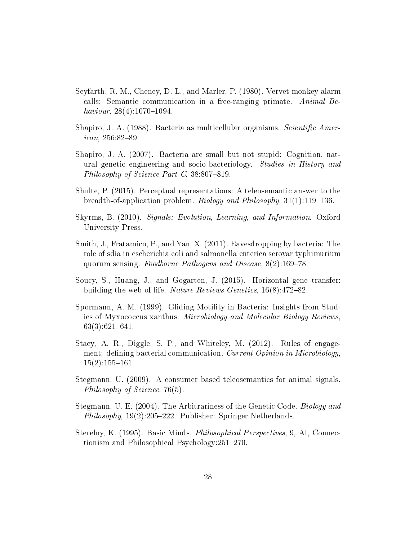- Seyfarth, R. M., Cheney, D. L., and Marler, P. (1980). Vervet monkey alarm calls: Semantic communication in a free-ranging primate. Animal Behaviour,  $28(4):1070-1094$ .
- Shapiro, J. A. (1988). Bacteria as multicellular organisms. Scientific Amer $ican, 256:82-89.$
- Shapiro, J. A. (2007). Bacteria are small but not stupid: Cognition, natural genetic engineering and socio-bacteriology. Studies in History and Philosophy of Science Part C,  $38.807 - 819$ .
- Shulte, P. (2015). Perceptual representations: A teleosemantic answer to the breadth-of-application problem. Biology and Philosophy,  $31(1)$ :119–136.
- Skyrms, B. (2010). Signals: Evolution, Learning, and Information. Oxford University Press.
- Smith, J., Fratamico, P., and Yan, X. (2011). Eavesdropping by bacteria: The role of sdia in escherichia coli and salmonella enterica serovar typhimurium quorum sensing. Foodborne Pathogens and Disease,  $8(2)$ :169-78.
- Soucy, S., Huang, J., and Gogarten, J. (2015). Horizontal gene transfer: building the web of life. *Nature Reviews Genetics*,  $16(8)$ :472–82.
- Spormann, A. M. (1999). Gliding Motility in Bacteria: Insights from Studies of Myxococcus xanthus. Microbiology and Molecular Biology Reviews,  $63(3):621-641.$
- Stacy, A. R., Diggle, S. P., and Whiteley, M. (2012). Rules of engagement: defining bacterial communication. Current Opinion in Microbiology,  $15(2):155-161.$
- Stegmann, U. (2009). A consumer based teleosemantics for animal signals. Philosophy of Science, 76(5).
- Stegmann, U. E. (2004). The Arbitrariness of the Genetic Code. Biology and Philosophy,  $19(2):205-222$ . Publisher: Springer Netherlands.
- Sterelny, K. (1995). Basic Minds. Philosophical Perspectives, 9, AI, Connectionism and Philosophical Psychology: 251–270.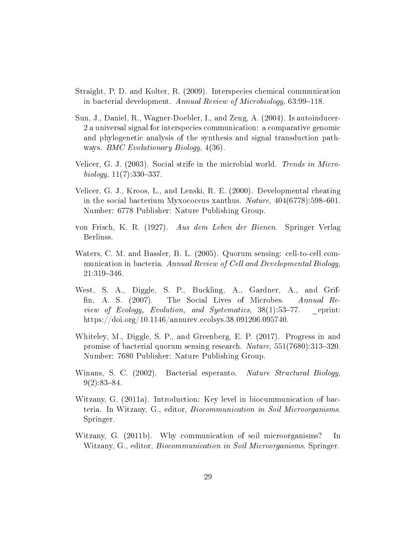- Straight, P. D. and Kolter, R. (2009). Interspecies chemical communication in bacterial development. Annual Review of Microbiology,  $63:99-118$ .
- Sun, J., Daniel, R., Wagner-Doebler, I., and Zeng, A. (2004). Is autoinducer-2 a universal signal for interspecies communication: a comparative genomic and phylogenetic analysis of the synthesis and signal transduction pathways. BMC Evolutionary Biology, 4(36).
- Velicer, G. J. (2003). Social strife in the microbial world. Trends in Micro $biology, 11(7):330-337.$
- Velicer, G. J., Kroos, L., and Lenski, R. E. (2000). Developmental cheating in the social bacterium Myxococcus xanthus. Nature,  $404(6778):598-601$ . Number: 6778 Publisher: Nature Publishing Group.
- von Frisch, K. R. (1927). Aus dem Leben der Bienen. Springer Verlag Berlinss.
- Waters, C. M. and Bassler, B. L. (2005). Quorum sensing: cell-to-cell communication in bacteria. Annual Review of Cell and Developmental Biology, 21:319-346.
- West, S. A., Diggle, S. P., Buckling, A., Gardner, A., and Grif fin, A. S. (2007). The Social Lives of Microbes. Annual Review of Ecology, Evolution, and Systematics,  $38(1):53-77$ . eprint: https://doi.org/10.1146/annurev.ecolsys.38.091206.095740.
- Whiteley, M., Diggle, S. P., and Greenberg, E. P. (2017). Progress in and promise of bacterial quorum sensing research.  $Nature, 551(7680):313-320$ . Number: 7680 Publisher: Nature Publishing Group.
- Winans, S. C. (2002). Bacterial esperanto. Nature Structural Biology,  $9(2):83-84.$
- Witzany, G. (2011a). Introduction: Key level in biocummunication of bacteria. In Witzany, G., editor, Biocommunication in Soil Microorganisms. Springer.
- Witzany, G. (2011b). Why communication of soil microorganisms? In Witzany, G., editor, Biocommunication in Soil Microorganisms. Springer.